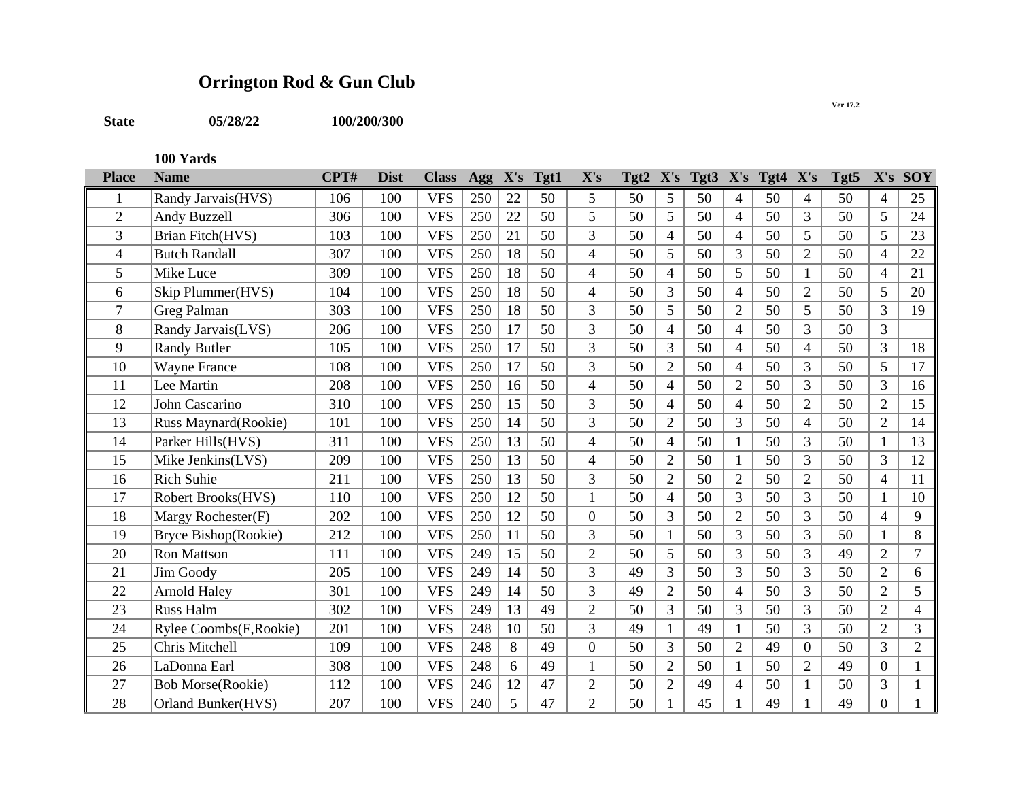## **Orrington Rod & Gun Club**

**State 05/28/22 100/200/300**

**100 Yards**

| <b>Place</b>   | <b>Name</b>              | CPT# | <b>Dist</b> | <b>Class</b> | Agg | X's | Tgt1 | X's            | $Tgt2$ X's |                |    |                | Tgt3 X's Tgt4 X's |                | Tgt5 |                          | X's SOY        |
|----------------|--------------------------|------|-------------|--------------|-----|-----|------|----------------|------------|----------------|----|----------------|-------------------|----------------|------|--------------------------|----------------|
|                | Randy Jarvais(HVS)       | 106  | 100         | <b>VFS</b>   | 250 | 22  | 50   | 5              | 50         | 5              | 50 | $\overline{4}$ | 50                | $\overline{4}$ | 50   | 4                        | 25             |
| $\overline{2}$ | Andy Buzzell             | 306  | 100         | <b>VFS</b>   | 250 | 22  | 50   | 5              | 50         | 5              | 50 | $\overline{4}$ | 50                | 3              | 50   | 5                        | 24             |
| 3              | Brian Fitch(HVS)         | 103  | 100         | <b>VFS</b>   | 250 | 21  | 50   | 3              | 50         | $\overline{4}$ | 50 | $\overline{4}$ | 50                | 5              | 50   | 5                        | 23             |
| 4              | <b>Butch Randall</b>     | 307  | 100         | <b>VFS</b>   | 250 | 18  | 50   | $\overline{4}$ | 50         | 5              | 50 | 3              | 50                | $\overline{2}$ | 50   | $\overline{4}$           | 22             |
| 5              | Mike Luce                | 309  | 100         | <b>VFS</b>   | 250 | 18  | 50   | $\overline{4}$ | 50         | $\overline{4}$ | 50 | 5              | 50                | $\mathbf{1}$   | 50   | 4                        | 21             |
| 6              | Skip Plummer(HVS)        | 104  | 100         | <b>VFS</b>   | 250 | 18  | 50   | $\overline{4}$ | 50         | $\overline{3}$ | 50 | $\overline{4}$ | 50                | $\overline{2}$ | 50   | 5                        | 20             |
| 7              | Greg Palman              | 303  | 100         | <b>VFS</b>   | 250 | 18  | 50   | 3              | 50         | 5              | 50 | $\overline{2}$ | 50                | 5              | 50   | 3                        | 19             |
| 8              | Randy Jarvais(LVS)       | 206  | 100         | <b>VFS</b>   | 250 | 17  | 50   | 3              | 50         | $\overline{4}$ | 50 | $\overline{4}$ | 50                | 3              | 50   | 3                        |                |
| 9              | <b>Randy Butler</b>      | 105  | 100         | <b>VFS</b>   | 250 | 17  | 50   | $\overline{3}$ | 50         | 3              | 50 | $\overline{4}$ | 50                | $\overline{4}$ | 50   | $\overline{3}$           | 18             |
| 10             | <b>Wayne France</b>      | 108  | 100         | <b>VFS</b>   | 250 | 17  | 50   | 3              | 50         | $\overline{2}$ | 50 | $\overline{4}$ | 50                | 3              | 50   | 5                        | 17             |
| 11             | Lee Martin               | 208  | 100         | <b>VFS</b>   | 250 | 16  | 50   | $\overline{4}$ | 50         | $\overline{4}$ | 50 | $\overline{2}$ | 50                | 3              | 50   | $\overline{3}$           | 16             |
| 12             | John Cascarino           | 310  | 100         | <b>VFS</b>   | 250 | 15  | 50   | 3              | 50         | $\overline{4}$ | 50 | $\overline{4}$ | 50                | $\overline{2}$ | 50   | $\overline{2}$           | 15             |
| 13             | Russ Maynard(Rookie)     | 101  | 100         | <b>VFS</b>   | 250 | 14  | 50   | 3              | 50         | $\overline{2}$ | 50 | 3              | 50                | $\overline{4}$ | 50   | $\overline{2}$           | 14             |
| 14             | Parker Hills(HVS)        | 311  | 100         | <b>VFS</b>   | 250 | 13  | 50   | $\overline{4}$ | 50         | $\overline{4}$ | 50 | $\mathbf{1}$   | 50                | 3              | 50   |                          | 13             |
| 15             | Mike Jenkins(LVS)        | 209  | 100         | <b>VFS</b>   | 250 | 13  | 50   | $\overline{4}$ | 50         | $\overline{2}$ | 50 | $\mathbf{1}$   | 50                | 3              | 50   | 3                        | 12             |
| 16             | <b>Rich Suhie</b>        | 211  | 100         | <b>VFS</b>   | 250 | 13  | 50   | $\overline{3}$ | 50         | $\overline{2}$ | 50 | $\overline{2}$ | 50                | $\overline{2}$ | 50   | $\overline{4}$           | 11             |
| 17             | Robert Brooks(HVS)       | 110  | 100         | <b>VFS</b>   | 250 | 12  | 50   | $\mathbf{1}$   | 50         | $\overline{4}$ | 50 | 3              | 50                | 3              | 50   |                          | 10             |
| 18             | Margy Rochester(F)       | 202  | 100         | <b>VFS</b>   | 250 | 12  | 50   | $\overline{0}$ | 50         | 3              | 50 | $\overline{2}$ | 50                | 3              | 50   | $\overline{\mathcal{L}}$ | 9              |
| 19             | Bryce Bishop(Rookie)     | 212  | 100         | <b>VFS</b>   | 250 | 11  | 50   | 3              | 50         | $\mathbf{1}$   | 50 | 3              | 50                | 3              | 50   |                          | 8              |
| 20             | <b>Ron Mattson</b>       | 111  | 100         | <b>VFS</b>   | 249 | 15  | 50   | $\sqrt{2}$     | 50         | 5              | 50 | 3              | 50                | 3              | 49   | $\overline{2}$           | 7              |
| 21             | Jim Goody                | 205  | 100         | <b>VFS</b>   | 249 | 14  | 50   | 3              | 49         | 3              | 50 | 3              | 50                | 3              | 50   | $\overline{2}$           | 6              |
| 22             | <b>Arnold Haley</b>      | 301  | 100         | <b>VFS</b>   | 249 | 14  | 50   | 3              | 49         | $\overline{2}$ | 50 | $\overline{4}$ | 50                | 3              | 50   | $\overline{2}$           | 5              |
| 23             | <b>Russ Halm</b>         | 302  | 100         | <b>VFS</b>   | 249 | 13  | 49   | $\overline{2}$ | 50         | $\overline{3}$ | 50 | 3              | 50                | 3              | 50   | $\overline{2}$           | 4              |
| 24             | Rylee Coombs(F, Rookie)  | 201  | 100         | <b>VFS</b>   | 248 | 10  | 50   | 3              | 49         | 1              | 49 | $\mathbf{1}$   | 50                | 3              | 50   | $\overline{2}$           | 3              |
| 25             | Chris Mitchell           | 109  | 100         | <b>VFS</b>   | 248 | 8   | 49   | $\overline{0}$ | 50         | $\overline{3}$ | 50 | $\overline{2}$ | 49                | $\overline{0}$ | 50   | 3                        | $\overline{2}$ |
| 26             | LaDonna Earl             | 308  | 100         | <b>VFS</b>   | 248 | 6   | 49   | $\mathbf{1}$   | 50         | $\overline{2}$ | 50 | $\mathbf{1}$   | 50                | $\overline{2}$ | 49   | $\overline{0}$           |                |
| 27             | <b>Bob Morse(Rookie)</b> | 112  | 100         | <b>VFS</b>   | 246 | 12  | 47   | $\sqrt{2}$     | 50         | $\overline{2}$ | 49 | 4              | 50                |                | 50   | 3                        |                |
| 28             | Orland Bunker(HVS)       | 207  | 100         | <b>VFS</b>   | 240 | 5   | 47   | $\overline{2}$ | 50         | 1              | 45 | 1              | 49                |                | 49   | $\overline{0}$           |                |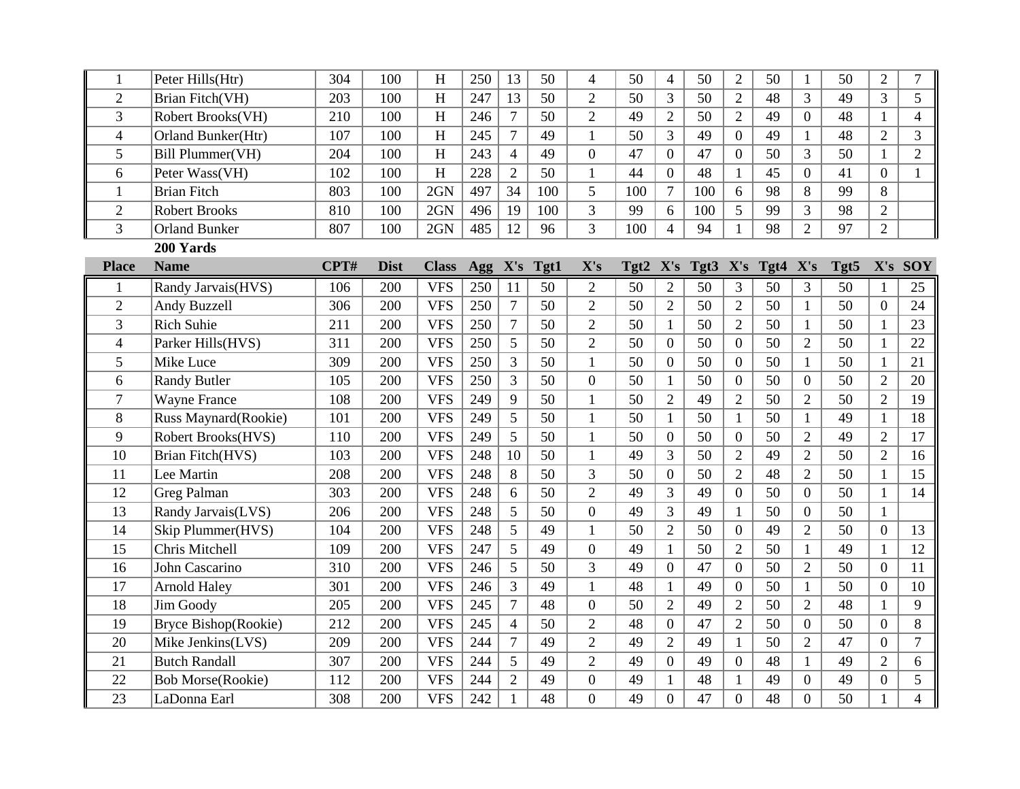| 1              | Peter Hills(Htr)          | 304  | 100         | $\mathbf H$             | 250        | 13             | 50   | $\overline{4}$ | 50   | $\overline{\mathcal{A}}$ | 50   | $\overline{2}$   | 50   | $\mathbf{1}$     | 50   | $\sqrt{2}$       | 7                        |
|----------------|---------------------------|------|-------------|-------------------------|------------|----------------|------|----------------|------|--------------------------|------|------------------|------|------------------|------|------------------|--------------------------|
| $\overline{2}$ | Brian Fitch(VH)           | 203  | 100         | $\overline{\mathrm{H}}$ | 247        | 13             | 50   | $\overline{2}$ | 50   | 3                        | 50   | $\overline{2}$   | 48   | 3                | 49   | $\overline{3}$   | 5                        |
| 3              | Robert Brooks(VH)         | 210  | 100         | H                       | 246        | $\overline{7}$ | 50   | $\overline{2}$ | 49   | $\overline{2}$           | 50   | $\overline{2}$   | 49   | $\overline{0}$   | 48   | $\mathbf{1}$     | $\overline{4}$           |
| $\overline{4}$ | <b>Orland Bunker(Htr)</b> | 107  | 100         | H                       | 245        | $\overline{7}$ | 49   | $\mathbf{1}$   | 50   | 3                        | 49   | $\overline{0}$   | 49   | $\mathbf{1}$     | 48   | $\overline{2}$   | 3                        |
| 5              | Bill Plummer(VH)          | 204  | 100         | H                       | 243        | $\overline{4}$ | 49   | $\overline{0}$ | 47   | $\overline{0}$           | 47   | $\overline{0}$   | 50   | 3                | 50   | $\mathbf{1}$     | $\overline{2}$           |
| 6              | Peter Wass(VH)            | 102  | 100         | H                       | 228        | $\overline{2}$ | 50   | $\mathbf{1}$   | 44   | $\overline{0}$           | 48   | $\mathbf{1}$     | 45   | $\overline{0}$   | 41   | $\overline{0}$   | 1                        |
| 1              | <b>Brian Fitch</b>        | 803  | 100         | 2GN                     | 497        | 34             | 100  | 5              | 100  | $\tau$                   | 100  | 6                | 98   | 8                | 99   | 8                |                          |
| $\overline{2}$ | <b>Robert Brooks</b>      | 810  | 100         | 2GN                     | 496        | 19             | 100  | $\overline{3}$ | 99   | 6                        | 100  | 5                | 99   | 3                | 98   | $\overline{2}$   |                          |
| 3              | <b>Orland Bunker</b>      | 807  | 100         | 2GN                     | 485        | 12             | 96   | 3              | 100  | $\overline{4}$           | 94   | 1                | 98   | $\overline{2}$   | 97   | $\overline{2}$   |                          |
|                | 200 Yards                 |      |             |                         |            |                |      |                |      |                          |      |                  |      |                  |      |                  |                          |
| <b>Place</b>   | <b>Name</b>               | CPT# | <b>Dist</b> | <b>Class</b>            | <b>Agg</b> | X's            | Tgt1 | X's            | Tgt2 | X's                      | Tgt3 | X's              | Tgt4 | X's              | Tgt5 | X's              | <b>SOY</b>               |
| $\mathbf{1}$   | Randy Jarvais(HVS)        | 106  | 200         | <b>VFS</b>              | 250        | 11             | 50   | $\overline{2}$ | 50   | $\overline{2}$           | 50   | $\overline{3}$   | 50   | $\overline{3}$   | 50   | $\mathbf{1}$     | 25                       |
| $\overline{2}$ | Andy Buzzell              | 306  | 200         | <b>VFS</b>              | 250        | $\overline{7}$ | 50   | $\overline{2}$ | 50   | $\overline{2}$           | 50   | $\overline{2}$   | 50   | $\mathbf{1}$     | 50   | $\mathbf{0}$     | 24                       |
| 3              | <b>Rich Suhie</b>         | 211  | 200         | <b>VFS</b>              | 250        | $\overline{7}$ | 50   | $\overline{2}$ | 50   | $\mathbf{1}$             | 50   | $\overline{2}$   | 50   | $\mathbf{1}$     | 50   | $\mathbf{1}$     | 23                       |
| $\overline{4}$ | Parker Hills(HVS)         | 311  | 200         | <b>VFS</b>              | 250        | 5              | 50   | $\overline{2}$ | 50   | $\overline{0}$           | 50   | $\overline{0}$   | 50   | $\overline{2}$   | 50   | $\mathbf{1}$     | 22                       |
| 5              | Mike Luce                 | 309  | 200         | <b>VFS</b>              | 250        | 3              | 50   | $\mathbf{1}$   | 50   | $\overline{0}$           | 50   | $\boldsymbol{0}$ | 50   | $\mathbf{1}$     | 50   | $\mathbf{1}$     | 21                       |
| 6              | <b>Randy Butler</b>       | 105  | 200         | <b>VFS</b>              | 250        | 3              | 50   | $\overline{0}$ | 50   | $\mathbf{1}$             | 50   | $\overline{0}$   | 50   | $\overline{0}$   | 50   | $\overline{2}$   | 20                       |
| $\overline{7}$ | <b>Wayne France</b>       | 108  | 200         | <b>VFS</b>              | 249        | 9              | 50   | $\mathbf{1}$   | 50   | $\overline{2}$           | 49   | $\overline{2}$   | 50   | $\overline{2}$   | 50   | $\overline{2}$   | 19                       |
| 8              | Russ Maynard(Rookie)      | 101  | 200         | <b>VFS</b>              | 249        | 5              | 50   | $\mathbf{1}$   | 50   | $\mathbf{1}$             | 50   | $\mathbf{1}$     | 50   | $\mathbf{1}$     | 49   | $\mathbf{1}$     | 18                       |
| 9              | Robert Brooks(HVS)        | 110  | 200         | <b>VFS</b>              | 249        | 5              | 50   | $\mathbf{1}$   | 50   | $\overline{0}$           | 50   | $\overline{0}$   | 50   | $\overline{2}$   | 49   | $\overline{2}$   | 17                       |
| 10             | <b>Brian Fitch(HVS)</b>   | 103  | 200         | <b>VFS</b>              | 248        | 10             | 50   | $\mathbf{1}$   | 49   | 3                        | 50   | $\overline{2}$   | 49   | $\overline{2}$   | 50   | $\overline{2}$   | 16                       |
| 11             | Lee Martin                | 208  | 200         | <b>VFS</b>              | 248        | 8              | 50   | 3              | 50   | $\overline{0}$           | 50   | $\overline{2}$   | 48   | $\overline{2}$   | 50   | $\mathbf{1}$     | 15                       |
| 12             | Greg Palman               | 303  | 200         | <b>VFS</b>              | 248        | 6              | 50   | $\overline{2}$ | 49   | 3                        | 49   | $\overline{0}$   | 50   | $\overline{0}$   | 50   | $\mathbf{1}$     | 14                       |
| 13             | Randy Jarvais(LVS)        | 206  | 200         | <b>VFS</b>              | 248        | 5              | 50   | $\overline{0}$ | 49   | 3                        | 49   | 1                | 50   | $\overline{0}$   | 50   | $\mathbf{1}$     |                          |
| 14             | Skip Plummer(HVS)         | 104  | 200         | <b>VFS</b>              | 248        | 5              | 49   | $\mathbf{1}$   | 50   | $\overline{2}$           | 50   | $\boldsymbol{0}$ | 49   | $\overline{2}$   | 50   | $\mathbf{0}$     | 13                       |
| 15             | Chris Mitchell            | 109  | 200         | <b>VFS</b>              | 247        | 5              | 49   | $\overline{0}$ | 49   | $\mathbf{1}$             | 50   | $\overline{2}$   | 50   | $\mathbf{1}$     | 49   | $\mathbf{1}$     | 12                       |
| 16             | John Cascarino            | 310  | 200         | <b>VFS</b>              | 246        | 5              | 50   | 3              | 49   | $\overline{0}$           | 47   | $\boldsymbol{0}$ | 50   | $\overline{2}$   | 50   | $\overline{0}$   | 11                       |
| 17             | <b>Arnold Haley</b>       | 301  | 200         | <b>VFS</b>              | 246        | 3              | 49   | $\mathbf{1}$   | 48   | $\mathbf{1}$             | 49   | $\mathbf{0}$     | 50   | $\mathbf{1}$     | 50   | $\boldsymbol{0}$ | 10                       |
| 18             | <b>Jim Goody</b>          | 205  | 200         | <b>VFS</b>              | 245        | $\overline{7}$ | 48   | $\overline{0}$ | 50   | $\overline{2}$           | 49   | $\overline{2}$   | 50   | $\overline{2}$   | 48   | $\mathbf{1}$     | 9                        |
| 19             | Bryce Bishop(Rookie)      | 212  | 200         | <b>VFS</b>              | 245        | $\overline{4}$ | 50   | $\overline{2}$ | 48   | $\overline{0}$           | 47   | $\overline{2}$   | 50   | $\overline{0}$   | 50   | $\mathbf{0}$     | 8                        |
| 20             | Mike Jenkins(LVS)         | 209  | 200         | <b>VFS</b>              | 244        | $\overline{7}$ | 49   | $\overline{2}$ | 49   | $\overline{2}$           | 49   | 1                | 50   | $\overline{2}$   | 47   | $\boldsymbol{0}$ | $\overline{7}$           |
| 21             | <b>Butch Randall</b>      | 307  | 200         | <b>VFS</b>              | 244        | 5              | 49   | $\overline{2}$ | 49   | $\overline{0}$           | 49   | $\overline{0}$   | 48   | $\mathbf{1}$     | 49   | $\overline{2}$   | 6                        |
| 22             | <b>Bob Morse(Rookie)</b>  | 112  | 200         | <b>VFS</b>              | 244        | $\overline{2}$ | 49   | $\overline{0}$ | 49   | $\mathbf{1}$             | 48   | $\mathbf{1}$     | 49   | $\boldsymbol{0}$ | 49   | $\overline{0}$   | 5                        |
| 23             | LaDonna Earl              | 308  | 200         | <b>VFS</b>              | 242        | $\mathbf{1}$   | 48   | $\overline{0}$ | 49   | $\overline{0}$           | 47   | $\overline{0}$   | 48   | $\overline{0}$   | 50   | $\mathbf{1}$     | $\overline{\mathcal{A}}$ |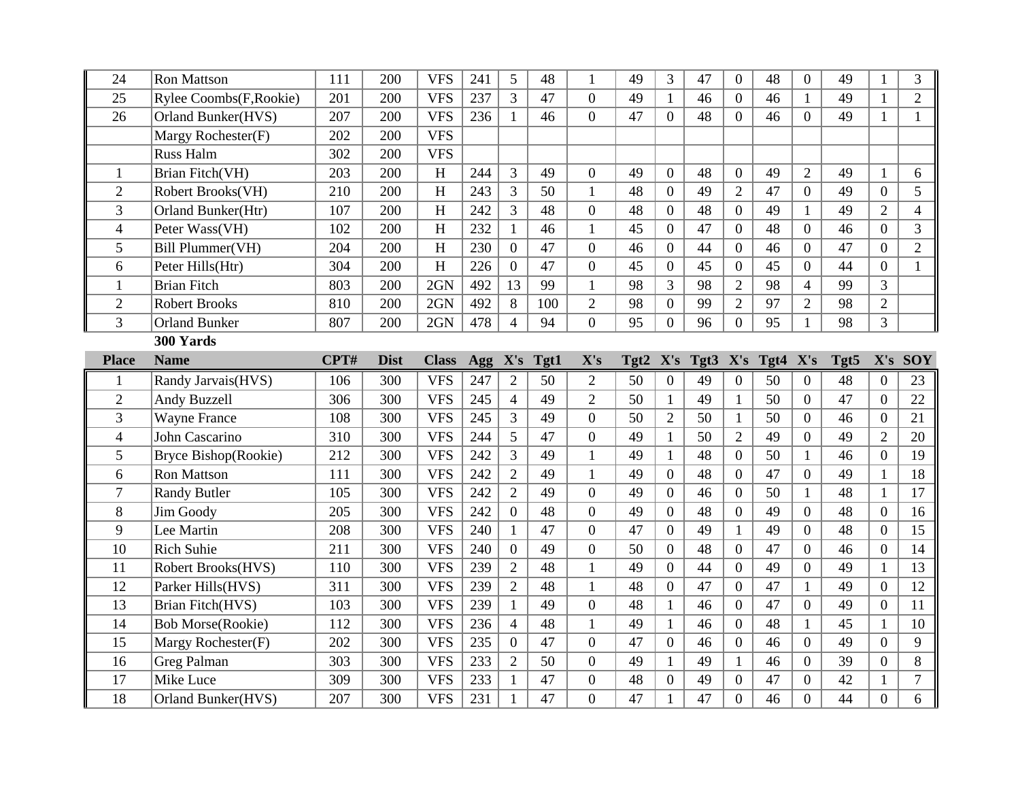| 24             | <b>Ron Mattson</b>       | 111  | 200         | <b>VFS</b>   | 241 | 5              | 48   | 1                | 49   | 3                | 47   | $\Omega$         | 48   | $\Omega$         | 49   | 1                | 3              |
|----------------|--------------------------|------|-------------|--------------|-----|----------------|------|------------------|------|------------------|------|------------------|------|------------------|------|------------------|----------------|
| 25             | Rylee Coombs(F, Rookie)  | 201  | 200         | <b>VFS</b>   | 237 | 3              | 47   | $\overline{0}$   | 49   | $\mathbf{1}$     | 46   | $\Omega$         | 46   | $\mathbf{1}$     | 49   | $\mathbf{1}$     | $\overline{2}$ |
| 26             | Orland Bunker(HVS)       | 207  | 200         | <b>VFS</b>   | 236 | 1              | 46   | $\boldsymbol{0}$ | 47   | $\Omega$         | 48   | $\Omega$         | 46   | $\Omega$         | 49   | 1                | $\mathbf{1}$   |
|                | Margy Rochester(F)       | 202  | 200         | <b>VFS</b>   |     |                |      |                  |      |                  |      |                  |      |                  |      |                  |                |
|                | Russ Halm                | 302  | 200         | <b>VFS</b>   |     |                |      |                  |      |                  |      |                  |      |                  |      |                  |                |
| 1              | Brian Fitch(VH)          | 203  | 200         | H            | 244 | 3              | 49   | $\overline{0}$   | 49   | $\overline{0}$   | 48   | $\overline{0}$   | 49   | $\overline{2}$   | 49   | $\mathbf{1}$     | 6              |
| $\overline{2}$ | Robert Brooks(VH)        | 210  | 200         | H            | 243 | 3              | 50   | $\mathbf{1}$     | 48   | $\overline{0}$   | 49   | $\overline{2}$   | 47   | $\theta$         | 49   | $\overline{0}$   | 5              |
| 3              | Orland Bunker(Htr)       | 107  | 200         | H            | 242 | 3              | 48   | $\mathbf{0}$     | 48   | $\overline{0}$   | 48   | $\overline{0}$   | 49   | 1                | 49   | $\overline{2}$   | $\overline{4}$ |
| 4              | Peter Wass(VH)           | 102  | 200         | H            | 232 | $\mathbf{1}$   | 46   | $\mathbf{1}$     | 45   | $\overline{0}$   | 47   | $\overline{0}$   | 48   | $\overline{0}$   | 46   | $\overline{0}$   | 3              |
| 5              | Bill Plummer(VH)         | 204  | 200         | H            | 230 | $\overline{0}$ | 47   | $\mathbf{0}$     | 46   | $\boldsymbol{0}$ | 44   | $\boldsymbol{0}$ | 46   | $\Omega$         | 47   | $\boldsymbol{0}$ | $\overline{2}$ |
| 6              | Peter Hills(Htr)         | 304  | 200         | H            | 226 | $\mathbf{0}$   | 47   | $\overline{0}$   | 45   | $\overline{0}$   | 45   | $\overline{0}$   | 45   | $\overline{0}$   | 44   | $\overline{0}$   | $\mathbf{1}$   |
| $\mathbf{1}$   | <b>Brian Fitch</b>       | 803  | 200         | 2GN          | 492 | 13             | 99   | $\mathbf{1}$     | 98   | 3                | 98   | $\overline{2}$   | 98   | $\overline{4}$   | 99   | 3                |                |
| $\overline{2}$ | <b>Robert Brooks</b>     | 810  | 200         | 2GN          | 492 | 8              | 100  | $\overline{2}$   | 98   | $\overline{0}$   | 99   | $\overline{2}$   | 97   | $\overline{2}$   | 98   | $\overline{2}$   |                |
| 3              | <b>Orland Bunker</b>     | 807  | 200         | 2GN          | 478 | $\overline{4}$ | 94   | $\overline{0}$   | 95   | $\overline{0}$   | 96   | $\overline{0}$   | 95   | $\mathbf{1}$     | 98   | 3                |                |
|                | 300 Yards                |      |             |              |     |                |      |                  |      |                  |      |                  |      |                  |      |                  |                |
| <b>Place</b>   | <b>Name</b>              | CPT# | <b>Dist</b> | <b>Class</b> | Agg | X's            | Tgt1 | X's              | Tgt2 | X's              | Tgt3 | X's              | Tgt4 | X's              | Tgt5 | X's              | <b>SOY</b>     |
|                | Randy Jarvais(HVS)       | 106  | 300         | <b>VFS</b>   | 247 | $\overline{2}$ | 50   | $\overline{2}$   | 50   | $\overline{0}$   | 49   | $\overline{0}$   | 50   | $\overline{0}$   | 48   | $\boldsymbol{0}$ | 23             |
|                |                          |      |             |              |     |                |      |                  |      |                  |      |                  |      |                  |      |                  |                |
| $\overline{2}$ | Andy Buzzell             | 306  | 300         | <b>VFS</b>   | 245 | $\overline{4}$ | 49   | $\overline{2}$   | 50   | $\mathbf{1}$     | 49   | $\mathbf{1}$     | 50   | $\boldsymbol{0}$ | 47   | $\boldsymbol{0}$ | 22             |
| 3              | <b>Wayne France</b>      | 108  | 300         | <b>VFS</b>   | 245 | 3              | 49   | $\overline{0}$   | 50   | $\overline{2}$   | 50   | $\mathbf{1}$     | 50   | $\overline{0}$   | 46   | $\overline{0}$   | 21             |
| 4              | John Cascarino           | 310  | 300         | <b>VFS</b>   | 244 | 5              | 47   | $\overline{0}$   | 49   | $\mathbf{1}$     | 50   | $\overline{2}$   | 49   | $\overline{0}$   | 49   | $\overline{2}$   | 20             |
| 5              | Bryce Bishop(Rookie)     | 212  | 300         | <b>VFS</b>   | 242 | $\overline{3}$ | 49   | $\mathbf{1}$     | 49   | $\mathbf{1}$     | 48   | $\Omega$         | 50   | $\mathbf{1}$     | 46   | $\overline{0}$   | 19             |
| 6              | Ron Mattson              | 111  | 300         | <b>VFS</b>   | 242 | $\overline{2}$ | 49   | 1                | 49   | $\overline{0}$   | 48   | $\overline{0}$   | 47   | $\overline{0}$   | 49   | $\mathbf{1}$     | 18             |
| $\overline{7}$ | <b>Randy Butler</b>      | 105  | 300         | <b>VFS</b>   | 242 | $\overline{2}$ | 49   | $\overline{0}$   | 49   | $\overline{0}$   | 46   | $\overline{0}$   | 50   | $\mathbf{1}$     | 48   | $\mathbf{1}$     | 17             |
| 8              | Jim Goody                | 205  | 300         | <b>VFS</b>   | 242 | $\overline{0}$ | 48   | $\overline{0}$   | 49   | $\overline{0}$   | 48   | $\overline{0}$   | 49   | $\overline{0}$   | 48   | $\boldsymbol{0}$ | 16             |
| 9              | Lee Martin               | 208  | 300         | <b>VFS</b>   | 240 | $\mathbf{1}$   | 47   | $\overline{0}$   | 47   | $\Omega$         | 49   | $\mathbf{1}$     | 49   | $\Omega$         | 48   | $\overline{0}$   | 15             |
| 10             | <b>Rich Suhie</b>        | 211  | 300         | <b>VFS</b>   | 240 | $\overline{0}$ | 49   | $\overline{0}$   | 50   | $\overline{0}$   | 48   | $\overline{0}$   | 47   | $\Omega$         | 46   | $\boldsymbol{0}$ | 14             |
| 11             | Robert Brooks(HVS)       | 110  | 300         | <b>VFS</b>   | 239 | $\overline{2}$ | 48   | $\mathbf{1}$     | 49   | $\theta$         | 44   | $\boldsymbol{0}$ | 49   | $\overline{0}$   | 49   | $\mathbf{1}$     | 13             |
| 12             | Parker Hills(HVS)        | 311  | 300         | <b>VFS</b>   | 239 | $\overline{2}$ | 48   | $\mathbf{1}$     | 48   | $\overline{0}$   | 47   | $\overline{0}$   | 47   | $\mathbf{1}$     | 49   | $\overline{0}$   | 12             |
| 13             | <b>Brian Fitch(HVS)</b>  | 103  | 300         | <b>VFS</b>   | 239 | $\mathbf{1}$   | 49   | $\overline{0}$   | 48   | $\mathbf{1}$     | 46   | $\overline{0}$   | 47   | $\overline{0}$   | 49   | $\overline{0}$   | 11             |
| 14             | <b>Bob Morse(Rookie)</b> | 112  | 300         | <b>VFS</b>   | 236 | $\overline{4}$ | 48   | $\mathbf{1}$     | 49   | $\mathbf{1}$     | 46   | $\overline{0}$   | 48   | $\mathbf{1}$     | 45   | $\mathbf{1}$     | 10             |
| 15             | Margy Rochester(F)       | 202  | 300         | <b>VFS</b>   | 235 | $\overline{0}$ | 47   | $\overline{0}$   | 47   | $\overline{0}$   | 46   | $\overline{0}$   | 46   | $\overline{0}$   | 49   | $\overline{0}$   | 9              |
| 16             | Greg Palman              | 303  | 300         | <b>VFS</b>   | 233 | $\overline{2}$ | 50   | $\boldsymbol{0}$ | 49   | $\mathbf{1}$     | 49   | $\mathbf{1}$     | 46   | $\boldsymbol{0}$ | 39   | $\boldsymbol{0}$ | 8              |
| 17             | Mike Luce                | 309  | 300         | <b>VFS</b>   | 233 | $\mathbf{1}$   | 47   | $\overline{0}$   | 48   | $\overline{0}$   | 49   | $\overline{0}$   | 47   | $\overline{0}$   | 42   | $\mathbf{1}$     | $\tau$         |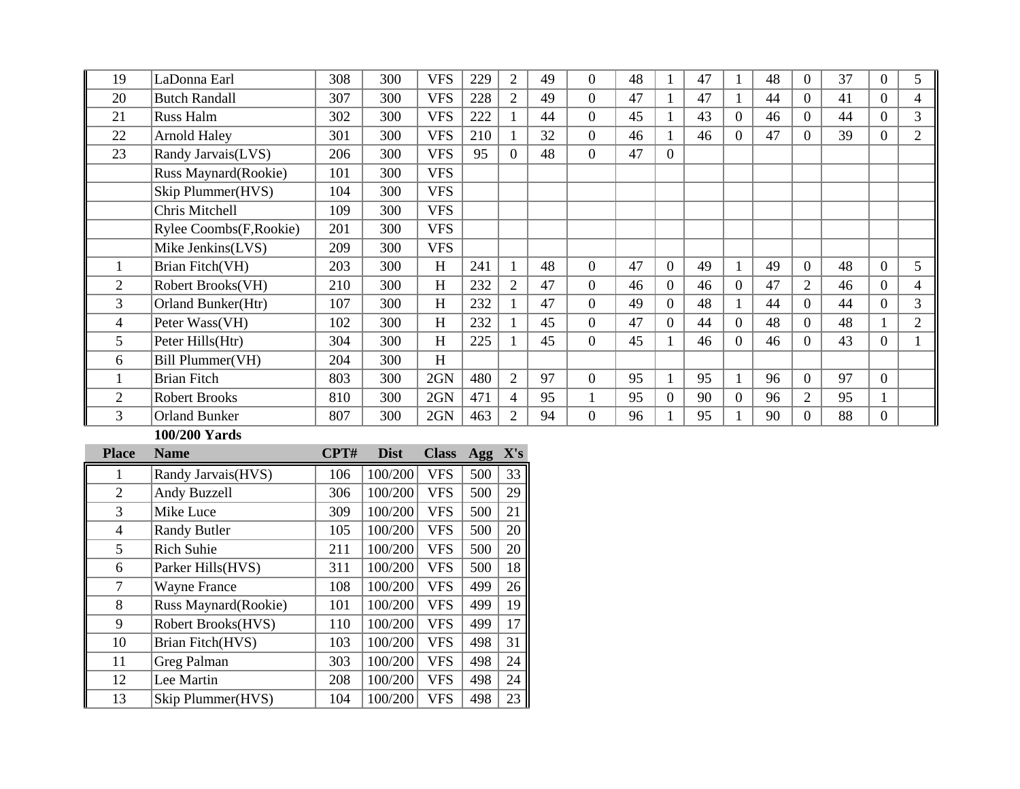| 19             | LaDonna Earl               | 308 | 300 | <b>VFS</b> | 229 | $\overline{2}$ | 49 | $\overline{0}$ | 48 |                | 47 |          | 48 | 0              | 37 | $\Omega$       | 5              |
|----------------|----------------------------|-----|-----|------------|-----|----------------|----|----------------|----|----------------|----|----------|----|----------------|----|----------------|----------------|
| 20             | <b>Butch Randall</b>       | 307 | 300 | <b>VFS</b> | 228 | $\overline{2}$ | 49 | $\theta$       | 47 |                | 47 |          | 44 | $\Omega$       | 41 | $\overline{0}$ | 4              |
| 21             | Russ Halm                  | 302 | 300 | <b>VFS</b> | 222 |                | 44 | $\overline{0}$ | 45 |                | 43 | $\Omega$ | 46 | $\Omega$       | 44 | $\overline{0}$ | 3              |
| 22             | <b>Arnold Haley</b>        | 301 | 300 | <b>VFS</b> | 210 |                | 32 | $\overline{0}$ | 46 |                | 46 | $\Omega$ | 47 | $\Omega$       | 39 | $\overline{0}$ | $\overline{2}$ |
| 23             | Randy Jarvais(LVS)         | 206 | 300 | <b>VFS</b> | 95  | $\Omega$       | 48 | $\overline{0}$ | 47 | $\Omega$       |    |          |    |                |    |                |                |
|                | Russ Maynard(Rookie)       | 101 | 300 | <b>VFS</b> |     |                |    |                |    |                |    |          |    |                |    |                |                |
|                | Skip Plummer(HVS)          | 104 | 300 | <b>VFS</b> |     |                |    |                |    |                |    |          |    |                |    |                |                |
|                | Chris Mitchell             | 109 | 300 | <b>VFS</b> |     |                |    |                |    |                |    |          |    |                |    |                |                |
|                | Rylee Coombs(F, Rookie)    | 201 | 300 | <b>VFS</b> |     |                |    |                |    |                |    |          |    |                |    |                |                |
|                | Mike Jenkins(LVS)          | 209 | 300 | <b>VFS</b> |     |                |    |                |    |                |    |          |    |                |    |                |                |
|                | Brian Fitch(VH)            | 203 | 300 | H          | 241 |                | 48 | $\overline{0}$ | 47 | $\overline{0}$ | 49 |          | 49 | $\Omega$       | 48 | $\overline{0}$ | 5              |
| $\overline{2}$ | Robert Brooks(VH)          | 210 | 300 | H          | 232 | $\overline{2}$ | 47 | $\overline{0}$ | 46 | $\Omega$       | 46 | $\Omega$ | 47 | $\overline{2}$ | 46 | $\overline{0}$ | 4              |
| 3              | <b>Orland Bunker</b> (Htr) | 107 | 300 | H          | 232 |                | 47 | $\overline{0}$ | 49 | $\Omega$       | 48 |          | 44 | $\Omega$       | 44 | $\overline{0}$ | 3              |
| 4              | Peter Wass(VH)             | 102 | 300 | H          | 232 |                | 45 | $\overline{0}$ | 47 | $\Omega$       | 44 | $\Omega$ | 48 | $\Omega$       | 48 |                | $\overline{2}$ |
| 5              | Peter Hills(Htr)           | 304 | 300 | H          | 225 |                | 45 | $\overline{0}$ | 45 |                | 46 | $\Omega$ | 46 | $\Omega$       | 43 | $\overline{0}$ |                |
| 6              | Bill Plummer(VH)           | 204 | 300 | H          |     |                |    |                |    |                |    |          |    |                |    |                |                |
|                | <b>Brian Fitch</b>         | 803 | 300 | 2GN        | 480 | $\overline{2}$ | 97 | $\theta$       | 95 |                | 95 |          | 96 | $\Omega$       | 97 | $\overline{0}$ |                |
| $\overline{2}$ | <b>Robert Brooks</b>       | 810 | 300 | 2GN        | 471 | 4              | 95 | 1              | 95 | $\Omega$       | 90 | $\Omega$ | 96 | $\overline{2}$ | 95 |                |                |
| 3              | <b>Orland Bunker</b>       | 807 | 300 | 2GN        | 463 | $\overline{2}$ | 94 | $\Omega$       | 96 |                | 95 |          | 90 | $\Omega$       | 88 | $\overline{0}$ |                |

## **100/200 Yards**

| <b>Place</b>   | <b>Name</b>          | CPT# | <b>Dist</b> | <b>Class</b> | Agg | X's |
|----------------|----------------------|------|-------------|--------------|-----|-----|
|                | Randy Jarvais (HVS)  | 106  | 100/200     | <b>VFS</b>   | 500 | 33  |
| 2              | Andy Buzzell         | 306  | 100/200     | <b>VFS</b>   | 500 | 29  |
| 3              | Mike Luce            | 309  | 100/200     | <b>VFS</b>   | 500 | 21  |
| $\overline{4}$ | <b>Randy Butler</b>  | 105  | 100/200     | <b>VFS</b>   | 500 | 20  |
| 5              | <b>Rich Suhie</b>    | 211  | 100/200     | <b>VFS</b>   | 500 | 20  |
| 6              | Parker Hills(HVS)    | 311  | 100/200     | <b>VFS</b>   | 500 | 18  |
| 7              | <b>Wayne France</b>  | 108  | 100/200     | <b>VFS</b>   | 499 | 26  |
| 8              | Russ Maynard(Rookie) | 101  | 100/200     | <b>VFS</b>   | 499 | 19  |
| 9              | Robert Brooks(HVS)   | 110  | 100/200     | <b>VFS</b>   | 499 | 17  |
| 10             | Brian Fitch(HVS)     | 103  | 100/200     | <b>VFS</b>   | 498 | 31  |
| 11             | <b>Greg Palman</b>   | 303  | 100/200     | <b>VFS</b>   | 498 | 24  |
| 12             | Lee Martin           | 208  | 100/200     | <b>VFS</b>   | 498 | 24  |
| 13             | Skip Plummer(HVS)    | 104  | 100/200     | <b>VFS</b>   | 498 | 23  |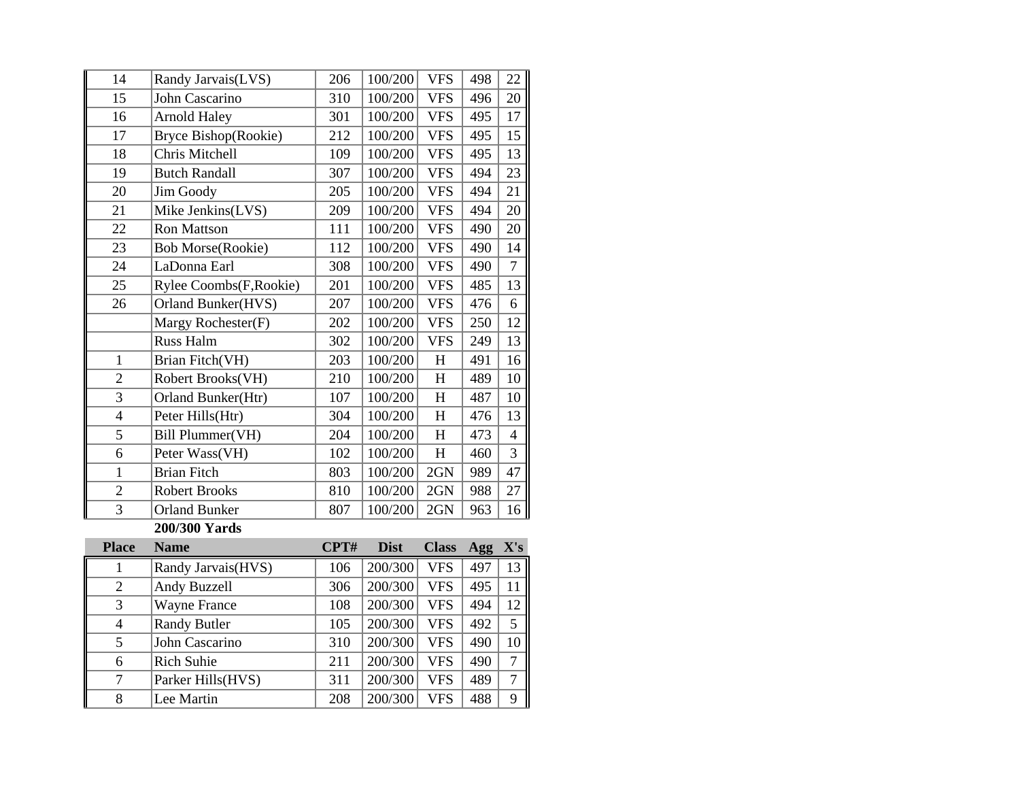| 14             | Randy Jarvais(LVS)       | 206  | 100/200     | <b>VFS</b>   | 498 | 22             |
|----------------|--------------------------|------|-------------|--------------|-----|----------------|
| 15             | John Cascarino           | 310  | 100/200     | <b>VFS</b>   | 496 | 20             |
| 16             | <b>Arnold Haley</b>      | 301  | 100/200     | <b>VFS</b>   | 495 | 17             |
| 17             | Bryce Bishop(Rookie)     | 212  | 100/200     | <b>VFS</b>   | 495 | 15             |
| 18             | Chris Mitchell           | 109  | 100/200     | <b>VFS</b>   | 495 | 13             |
| 19             | <b>Butch Randall</b>     | 307  | 100/200     | <b>VFS</b>   | 494 | 23             |
| 20             | Jim Goody                | 205  | 100/200     | <b>VFS</b>   | 494 | 21             |
| 21             | Mike Jenkins(LVS)        | 209  | 100/200     | <b>VFS</b>   | 494 | 20             |
| 22             | <b>Ron Mattson</b>       | 111  | 100/200     | <b>VFS</b>   | 490 | 20             |
| 23             | <b>Bob Morse(Rookie)</b> | 112  | 100/200     | <b>VFS</b>   | 490 | 14             |
| 24             | LaDonna Earl             | 308  | 100/200     | <b>VFS</b>   | 490 | $\tau$         |
| 25             | Rylee Coombs(F, Rookie)  | 201  | 100/200     | <b>VFS</b>   | 485 | 13             |
| 26             | Orland Bunker(HVS)       | 207  | 100/200     | <b>VFS</b>   | 476 | 6              |
|                | Margy Rochester(F)       | 202  | 100/200     | <b>VFS</b>   | 250 | 12             |
|                | Russ Halm                | 302  | 100/200     | <b>VFS</b>   | 249 | 13             |
| $\mathbf{1}$   | Brian Fitch(VH)          | 203  | 100/200     | $H_{\rm}$    | 491 | 16             |
| $\overline{c}$ | Robert Brooks(VH)        | 210  | 100/200     | $H_{\rm}$    | 489 | 10             |
| $\overline{3}$ | Orland Bunker(Htr)       | 107  | 100/200     | $\rm H$      | 487 | 10             |
| $\overline{4}$ | Peter Hills(Htr)         | 304  | 100/200     | H            | 476 | 13             |
| 5              | Bill Plummer(VH)         | 204  | 100/200     | $H_{\rm}$    | 473 | $\overline{4}$ |
| 6              | Peter Wass(VH)           | 102  | 100/200     | $H_{\rm}$    | 460 | 3              |
| $\mathbf{1}$   | <b>Brian Fitch</b>       | 803  | 100/200     | 2GN          | 989 | 47             |
| $\overline{2}$ | <b>Robert Brooks</b>     | 810  | 100/200     | 2GN          | 988 | 27             |
| 3              | <b>Orland Bunker</b>     | 807  | 100/200     | 2GN          | 963 | 16             |
|                | 200/300 Yards            |      |             |              |     |                |
| <b>Place</b>   | <b>Name</b>              | CPT# | <b>Dist</b> | <b>Class</b> | Agg | X's            |
| $\mathbf 1$    | Randy Jarvais(HVS)       | 106  | 200/300     | <b>VFS</b>   | 497 | 13             |
| $\overline{2}$ | Andy Buzzell             | 306  | 200/300     | <b>VFS</b>   | 495 | 11             |
| $\overline{3}$ | <b>Wayne France</b>      | 108  | 200/300     | <b>VFS</b>   | 494 | 12             |
| $\overline{4}$ | <b>Randy Butler</b>      | 105  | 200/300     | <b>VFS</b>   | 492 | 5              |
| 5              | John Cascarino           | 310  | 200/300     | <b>VFS</b>   | 490 | 10             |
| 6              | <b>Rich Suhie</b>        | 211  | 200/300     | <b>VFS</b>   | 490 | $\overline{7}$ |
| $\overline{7}$ | Parker Hills(HVS)        | 311  | 200/300     | <b>VFS</b>   | 489 | $\tau$         |
| 8              | Lee Martin               | 208  | 200/300     | <b>VFS</b>   | 488 | 9              |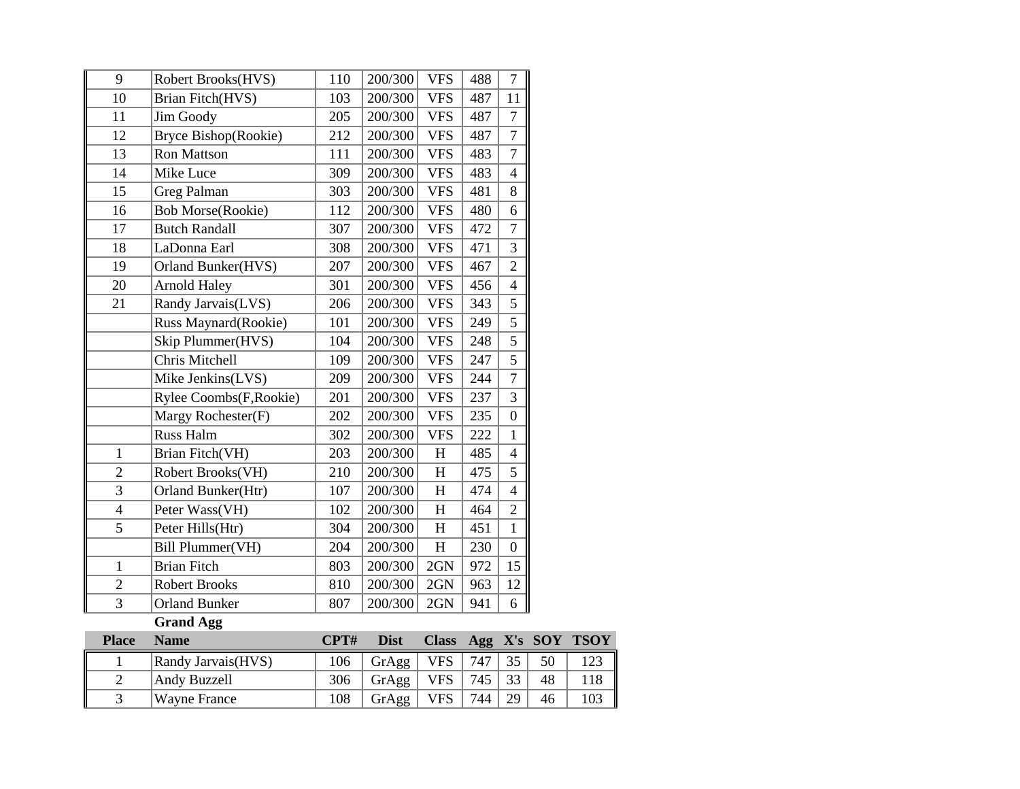| 9              | Robert Brooks(HVS)       | 110  | 200/300     | <b>VFS</b>                | 488 | $\tau$           |            |             |
|----------------|--------------------------|------|-------------|---------------------------|-----|------------------|------------|-------------|
| 10             | Brian Fitch(HVS)         | 103  | 200/300     | <b>VFS</b>                | 487 | 11               |            |             |
| 11             | Jim Goody                | 205  | 200/300     | <b>VFS</b>                | 487 | $\overline{7}$   |            |             |
| 12             | Bryce Bishop(Rookie)     | 212  | 200/300     | <b>VFS</b>                | 487 | $\overline{7}$   |            |             |
| 13             | Ron Mattson              | 111  | 200/300     | <b>VFS</b>                | 483 | $\overline{7}$   |            |             |
| 14             | Mike Luce                | 309  | 200/300     | <b>VFS</b>                | 483 | $\overline{4}$   |            |             |
| 15             | Greg Palman              | 303  | 200/300     | <b>VFS</b>                | 481 | 8                |            |             |
| 16             | <b>Bob Morse(Rookie)</b> | 112  | 200/300     | <b>VFS</b>                | 480 | 6                |            |             |
| 17             | <b>Butch Randall</b>     | 307  | 200/300     | <b>VFS</b>                | 472 | $\overline{7}$   |            |             |
| 18             | LaDonna Earl             | 308  | 200/300     | <b>VFS</b>                | 471 | 3                |            |             |
| 19             | Orland Bunker(HVS)       | 207  | 200/300     | <b>VFS</b>                | 467 | $\overline{2}$   |            |             |
| 20             | <b>Arnold Haley</b>      | 301  | 200/300     | <b>VFS</b>                | 456 | $\overline{4}$   |            |             |
| 21             | Randy Jarvais(LVS)       | 206  | 200/300     | <b>VFS</b>                | 343 | $\overline{5}$   |            |             |
|                | Russ Maynard(Rookie)     | 101  | 200/300     | <b>VFS</b>                | 249 | 5                |            |             |
|                | Skip Plummer(HVS)        | 104  | 200/300     | <b>VFS</b>                | 248 | 5                |            |             |
|                | Chris Mitchell           | 109  | 200/300     | <b>VFS</b>                | 247 | 5                |            |             |
|                | Mike Jenkins(LVS)        | 209  | 200/300     | <b>VFS</b>                | 244 | $\overline{7}$   |            |             |
|                | Rylee Coombs(F, Rookie)  | 201  | 200/300     | <b>VFS</b>                | 237 | 3                |            |             |
|                | Margy Rochester(F)       | 202  | 200/300     | <b>VFS</b>                | 235 | $\overline{0}$   |            |             |
|                | Russ Halm                | 302  | 200/300     | <b>VFS</b>                | 222 | $\mathbf{1}$     |            |             |
| $\mathbf{1}$   | Brian Fitch(VH)          | 203  | 200/300     | H                         | 485 | $\overline{4}$   |            |             |
| $\overline{c}$ | Robert Brooks(VH)        | 210  | 200/300     | H                         | 475 | 5                |            |             |
| $\overline{3}$ | Orland Bunker(Htr)       | 107  | 200/300     | H                         | 474 | $\overline{4}$   |            |             |
| $\overline{4}$ | Peter Wass(VH)           | 102  | 200/300     | $\boldsymbol{\mathrm{H}}$ | 464 | $\overline{2}$   |            |             |
| 5              | Peter Hills(Htr)         | 304  | 200/300     | H                         | 451 | $\mathbf{1}$     |            |             |
|                | Bill Plummer(VH)         | 204  | 200/300     | H                         | 230 | $\boldsymbol{0}$ |            |             |
| $\mathbf{1}$   | <b>Brian Fitch</b>       | 803  | 200/300     | 2GN                       | 972 | 15               |            |             |
| $\overline{2}$ | <b>Robert Brooks</b>     | 810  | 200/300     | 2GN                       | 963 | 12               |            |             |
| $\overline{3}$ | <b>Orland Bunker</b>     | 807  | 200/300     | 2GN                       | 941 | 6                |            |             |
|                | <b>Grand Agg</b>         |      |             |                           |     |                  |            |             |
| <b>Place</b>   | <b>Name</b>              | CPT# | <b>Dist</b> | <b>Class</b>              | Agg | X's              | <b>SOY</b> | <b>TSOY</b> |
| 1              | Randy Jarvais(HVS)       | 106  | GrAgg       | <b>VFS</b>                | 747 | 35               | 50         | 123         |
| $\overline{2}$ | Andy Buzzell             | 306  | GrAgg       | <b>VFS</b>                | 745 | 33               | 48         | 118         |
| $\overline{3}$ | <b>Wayne France</b>      | 108  | GrAgg       | <b>VFS</b>                | 744 | 29               | 46         | 103         |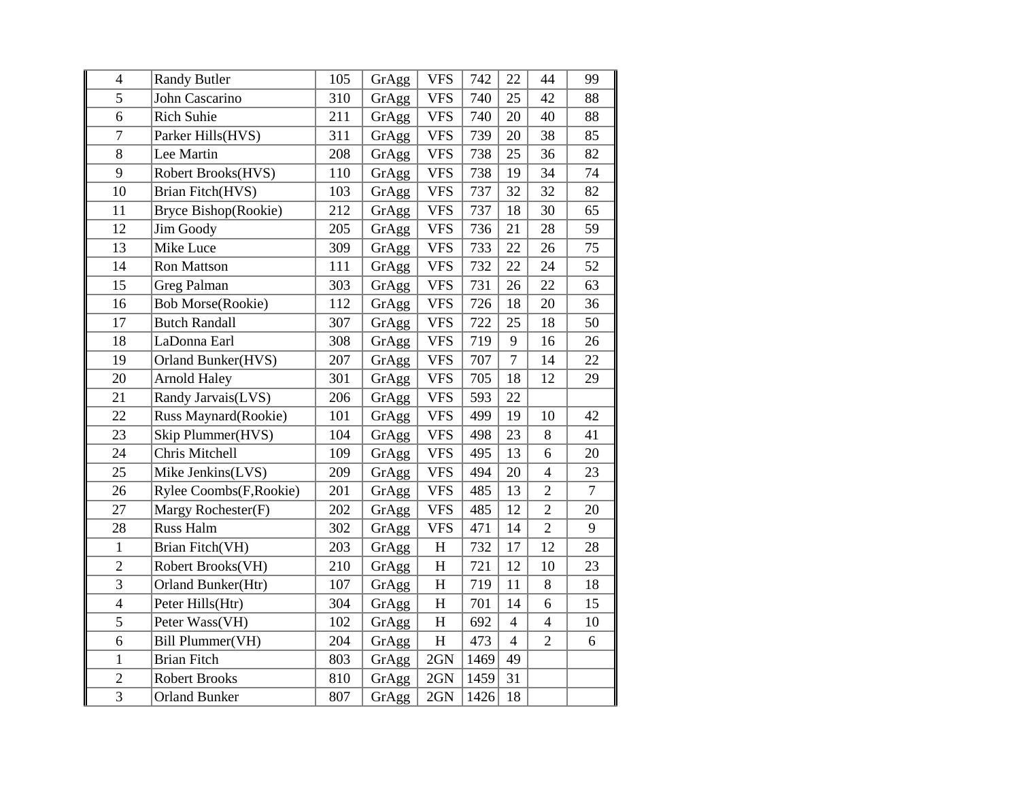| $\overline{4}$ | <b>Randy Butler</b>      | 105 | GrAgg | <b>VFS</b>  | 742  | 22             | 44             | 99             |
|----------------|--------------------------|-----|-------|-------------|------|----------------|----------------|----------------|
| 5              | John Cascarino           | 310 | GrAgg | <b>VFS</b>  | 740  | 25             | 42             | 88             |
| 6              | <b>Rich Suhie</b>        | 211 | GrAgg | <b>VFS</b>  | 740  | 20             | 40             | 88             |
| $\overline{7}$ | Parker Hills(HVS)        | 311 | GrAgg | <b>VFS</b>  | 739  | 20             | 38             | 85             |
| 8              | Lee Martin               | 208 | GrAgg | <b>VFS</b>  | 738  | 25             | 36             | 82             |
| 9              | Robert Brooks(HVS)       | 110 | GrAgg | <b>VFS</b>  | 738  | 19             | 34             | 74             |
| 10             | Brian Fitch(HVS)         | 103 | GrAgg | <b>VFS</b>  | 737  | 32             | 32             | 82             |
| 11             | Bryce Bishop(Rookie)     | 212 | GrAgg | <b>VFS</b>  | 737  | 18             | 30             | 65             |
| 12             | Jim Goody                | 205 | GrAgg | <b>VFS</b>  | 736  | 21             | 28             | 59             |
| 13             | Mike Luce                | 309 | GrAgg | <b>VFS</b>  | 733  | 22             | 26             | 75             |
| 14             | <b>Ron Mattson</b>       | 111 | GrAgg | <b>VFS</b>  | 732  | 22             | 24             | 52             |
| 15             | Greg Palman              | 303 | GrAgg | <b>VFS</b>  | 731  | 26             | 22             | 63             |
| 16             | <b>Bob Morse(Rookie)</b> | 112 | GrAgg | <b>VFS</b>  | 726  | 18             | 20             | 36             |
| 17             | <b>Butch Randall</b>     | 307 | GrAgg | <b>VFS</b>  | 722  | 25             | 18             | 50             |
| 18             | LaDonna Earl             | 308 | GrAgg | <b>VFS</b>  | 719  | 9              | 16             | 26             |
| 19             | Orland Bunker(HVS)       | 207 | GrAgg | <b>VFS</b>  | 707  | $\overline{7}$ | 14             | 22             |
| 20             | <b>Arnold Haley</b>      | 301 | GrAgg | <b>VFS</b>  | 705  | 18             | 12             | 29             |
| 21             | Randy Jarvais(LVS)       | 206 | GrAgg | <b>VFS</b>  | 593  | 22             |                |                |
| 22             | Russ Maynard(Rookie)     | 101 | GrAgg | <b>VFS</b>  | 499  | 19             | 10             | 42             |
| 23             | Skip Plummer(HVS)        | 104 | GrAgg | <b>VFS</b>  | 498  | 23             | 8              | 41             |
| 24             | Chris Mitchell           | 109 | GrAgg | <b>VFS</b>  | 495  | 13             | 6              | 20             |
| 25             | Mike Jenkins(LVS)        | 209 | GrAgg | <b>VFS</b>  | 494  | 20             | $\overline{4}$ | 23             |
| 26             | Rylee Coombs(F, Rookie)  | 201 | GrAgg | <b>VFS</b>  | 485  | 13             | $\overline{2}$ | $\overline{7}$ |
| 27             | Margy Rochester(F)       | 202 | GrAgg | <b>VFS</b>  | 485  | 12             | $\overline{2}$ | 20             |
| 28             | <b>Russ Halm</b>         | 302 | GrAgg | <b>VFS</b>  | 471  | 14             | $\overline{2}$ | 9              |
| $\mathbf{1}$   | Brian Fitch(VH)          | 203 | GrAgg | $H_{\rm}$   | 732  | 17             | 12             | 28             |
| $\overline{2}$ | Robert Brooks(VH)        | 210 | GrAgg | H           | 721  | 12             | 10             | 23             |
| $\overline{3}$ | Orland Bunker(Htr)       | 107 | GrAgg | H           | 719  | 11             | $\bf 8$        | 18             |
| $\overline{4}$ | Peter Hills(Htr)         | 304 | GrAgg | $\mathbf H$ | 701  | 14             | 6              | 15             |
| 5              | Peter Wass(VH)           | 102 | GrAgg | H           | 692  | $\overline{4}$ | $\overline{4}$ | 10             |
| 6              | <b>Bill Plummer(VH)</b>  | 204 | GrAgg | $H_{\rm}$   | 473  | $\overline{4}$ | $\overline{2}$ | 6              |
| $\mathbf{1}$   | <b>Brian Fitch</b>       | 803 | GrAgg | 2GN         | 1469 | 49             |                |                |
| $\overline{c}$ | <b>Robert Brooks</b>     | 810 | GrAgg | 2GN         | 1459 | 31             |                |                |
| $\overline{3}$ | <b>Orland Bunker</b>     | 807 | GrAgg | 2GN         | 1426 | 18             |                |                |